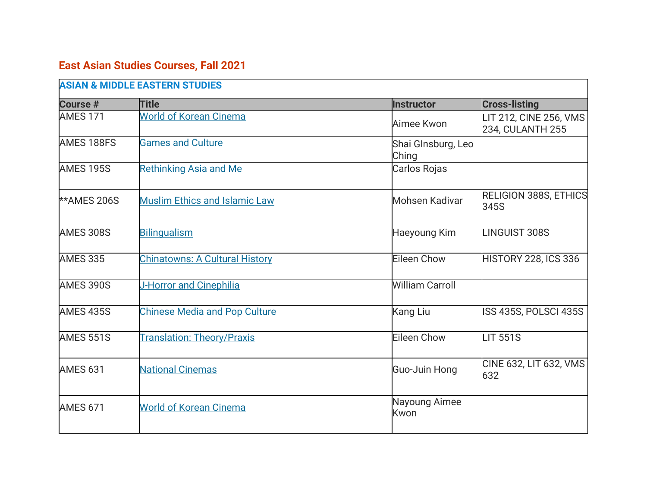## **East Asian Studies Courses, Fall 2021**

| <b>ASIAN &amp; MIDDLE EASTERN STUDIES</b> |                                       |                             |                                            |
|-------------------------------------------|---------------------------------------|-----------------------------|--------------------------------------------|
| <b>Course #</b>                           | <b>Title</b>                          | <b>Instructor</b>           | <b>Cross-listing</b>                       |
| <b>AMES 171</b>                           | <b>World of Korean Cinema</b>         | Aimee Kwon                  | LIT 212, CINE 256, VMS<br>234, CULANTH 255 |
| AMES 188FS                                | <b>Games and Culture</b>              | Shai GInsburg, Leo<br>Ching |                                            |
| <b>AMES 195S</b>                          | <b>Rethinking Asia and Me</b>         | Carlos Rojas                |                                            |
| <b>**AMES 206S</b>                        | <b>Muslim Ethics and Islamic Law</b>  | <b>Mohsen Kadivar</b>       | <b>RELIGION 388S, ETHICS</b><br>345S       |
| <b>AMES 308S</b>                          | <b>Bilingualism</b>                   | Haeyoung Kim                | <b>LINGUIST 308S</b>                       |
| <b>AMES 335</b>                           | <b>Chinatowns: A Cultural History</b> | <b>Eileen Chow</b>          | <b>HISTORY 228, ICS 336</b>                |
| AMES 390S                                 | J-Horror and Cinephilia               | <b>William Carroll</b>      |                                            |
| <b>AMES 435S</b>                          | <b>Chinese Media and Pop Culture</b>  | <b>Kang Liu</b>             | ISS 435S, POLSCI 435S                      |
| <b>AMES 551S</b>                          | <b>Translation: Theory/Praxis</b>     | Eileen Chow                 | <b>LIT 551S</b>                            |
| <b>AMES 631</b>                           | <b>National Cinemas</b>               | Guo-Juin Hong               | CINE 632, LIT 632, VMS<br>632              |
| <b>AMES 671</b>                           | <b>World of Korean Cinema</b>         | Nayoung Aimee<br>Kwon       |                                            |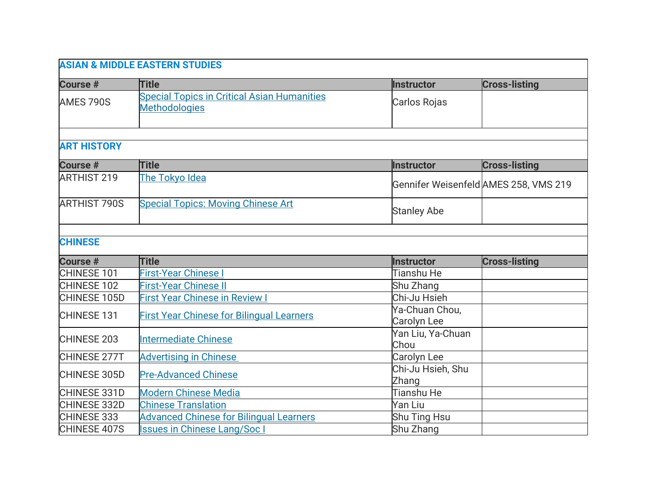| <b>ASIAN &amp; MIDDLE EASTERN STUDIES</b> |                                                                            |                                      |                                       |
|-------------------------------------------|----------------------------------------------------------------------------|--------------------------------------|---------------------------------------|
| <b>Course #</b>                           | <b>Title</b>                                                               | <b>Instructor</b>                    | <b>Cross-listing</b>                  |
| AMES 790S                                 | <b>Special Topics in Critical Asian Humanities</b><br><b>Methodologies</b> | Carlos Rojas                         |                                       |
| <b>ART HISTORY</b>                        |                                                                            |                                      |                                       |
| <b>Course #</b>                           | <b>Title</b>                                                               | <b>Instructor</b>                    | <b>Cross-listing</b>                  |
| <b>ARTHIST 219</b>                        | The Tokyo Idea                                                             |                                      | Gennifer Weisenfeld AMES 258, VMS 219 |
| <b>ARTHIST 790S</b>                       | <b>Special Topics: Moving Chinese Art</b>                                  | <b>Stanley Abe</b>                   |                                       |
| <b>CHINESE</b>                            |                                                                            |                                      |                                       |
| Course #                                  | <b>Title</b>                                                               | <b>Instructor</b>                    | <b>Cross-listing</b>                  |
| CHINESE 101                               | <b>First-Year Chinese I</b>                                                | Tianshu He                           |                                       |
| CHINESE 102                               | <b>First-Year Chinese II</b>                                               | Shu Zhang                            |                                       |
| CHINESE 105D                              | <b>First Year Chinese in Review I</b>                                      | Chi-Ju Hsieh                         |                                       |
| CHINESE 131                               | <b>First Year Chinese for Bilingual Learners</b>                           | Ya-Chuan Chou,<br><b>Carolyn Lee</b> |                                       |
| <b>CHINESE 203</b>                        | <b>Intermediate Chinese</b>                                                | Yan Liu, Ya-Chuan<br>Chou            |                                       |
| CHINESE 277T                              | <b>Advertising in Chinese</b>                                              | Carolyn Lee                          |                                       |
| CHINESE 305D                              | <b>Pre-Advanced Chinese</b>                                                | Chi-Ju Hsieh, Shu<br>Zhang           |                                       |
| CHINESE 331D                              | <b>Modern Chinese Media</b>                                                | <b>Tianshu He</b>                    |                                       |
| CHINESE 332D                              | <b>Chinese Translation</b>                                                 | Yan Liu                              |                                       |
| CHINESE 333                               | <b>Advanced Chinese for Bilingual Learners</b>                             | Shu Ting Hsu                         |                                       |
| CHINESE 407S                              | <b>Issues in Chinese Lang/Soc I</b>                                        | Shu Zhang                            |                                       |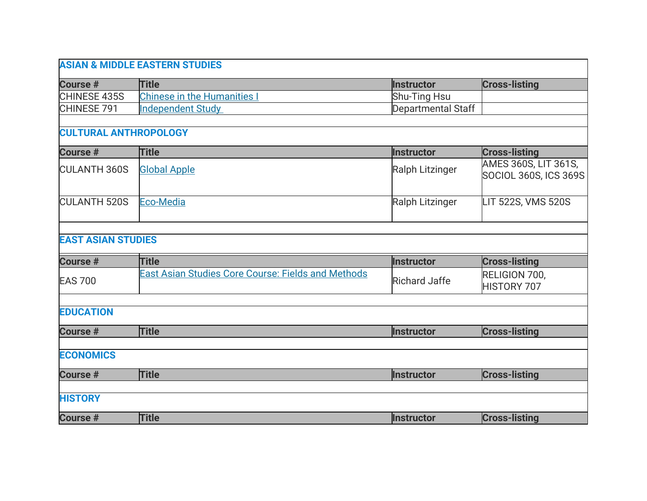|                              | <b>ASIAN &amp; MIDDLE EASTERN STUDIES</b>                 |                      |                                               |
|------------------------------|-----------------------------------------------------------|----------------------|-----------------------------------------------|
| <b>Course #</b>              | <b>Title</b>                                              | <b>Instructor</b>    | <b>Cross-listing</b>                          |
| CHINESE 435S                 | <b>Chinese in the Humanities I</b>                        | Shu-Ting Hsu         |                                               |
| CHINESE 791                  | <b>Independent Study</b>                                  | Departmental Staff   |                                               |
| <b>CULTURAL ANTHROPOLOGY</b> |                                                           |                      |                                               |
| <b>Course #</b>              | <b>Title</b>                                              | <b>Instructor</b>    | <b>Cross-listing</b>                          |
| <b>CULANTH 360S</b>          | <b>Global Apple</b>                                       | Ralph Litzinger      | AMES 360S, LIT 361S,<br>SOCIOL 360S, ICS 369S |
| <b>CULANTH 520S</b>          | <b>Eco-Media</b>                                          | Ralph Litzinger      | LIT 522S, VMS 520S                            |
| <b>EAST ASIAN STUDIES</b>    |                                                           |                      |                                               |
| <b>Course #</b>              | <b>Title</b>                                              | <b>Instructor</b>    | <b>Cross-listing</b>                          |
| <b>EAS 700</b>               | <b>East Asian Studies Core Course: Fields and Methods</b> | <b>Richard Jaffe</b> | RELIGION 700,<br><b>HISTORY 707</b>           |
| <b>EDUCATION</b>             |                                                           |                      |                                               |
|                              |                                                           |                      |                                               |
| <b>Course #</b>              | <b>Title</b>                                              | <b>Instructor</b>    | <b>Cross-listing</b>                          |
| <b>ECONOMICS</b>             |                                                           |                      |                                               |
| <b>Course #</b>              | <b>Title</b>                                              | <b>Instructor</b>    | <b>Cross-listing</b>                          |
| <b>HISTORY</b>               |                                                           |                      |                                               |
| Course #                     | <b>Title</b>                                              | <b>Instructor</b>    | <b>Cross-listing</b>                          |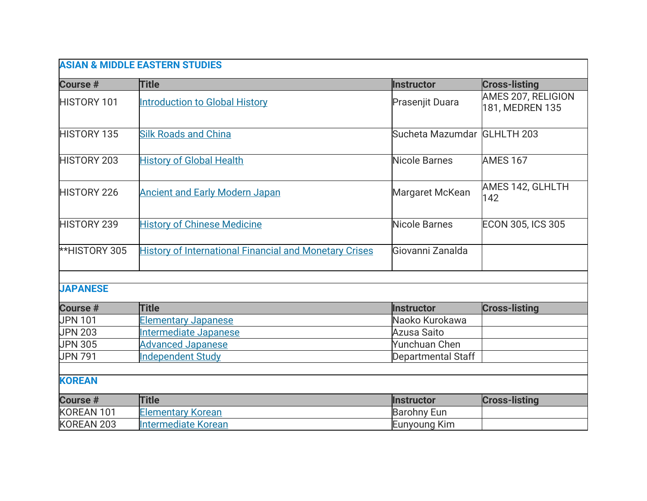| <b>ASIAN &amp; MIDDLE EASTERN STUDIES</b> |                                                               |                             |                                       |  |
|-------------------------------------------|---------------------------------------------------------------|-----------------------------|---------------------------------------|--|
| Course #                                  | <b>Title</b>                                                  | <b>Instructor</b>           | <b>Cross-listing</b>                  |  |
| <b>HISTORY 101</b>                        | <b>Introduction to Global History</b>                         | Prasenjit Duara             | AMES 207, RELIGION<br>181, MEDREN 135 |  |
| <b>HISTORY 135</b>                        | <b>Silk Roads and China</b>                                   | Sucheta Mazumdar GLHLTH 203 |                                       |  |
| <b>HISTORY 203</b>                        | <b>History of Global Health</b>                               | <b>Nicole Barnes</b>        | <b>AMES 167</b>                       |  |
| <b>HISTORY 226</b>                        | <b>Ancient and Early Modern Japan</b>                         | Margaret McKean             | AMES 142, GLHLTH<br>142               |  |
| <b>HISTORY 239</b>                        | <b>History of Chinese Medicine</b>                            | Nicole Barnes               | <b>ECON 305, ICS 305</b>              |  |
| <b>**HISTORY 305</b>                      | <b>History of International Financial and Monetary Crises</b> | Giovanni Zanalda            |                                       |  |
| <b>JAPANESE</b>                           |                                                               |                             |                                       |  |
| <b>Course #</b>                           | <b>Title</b>                                                  | <b>Instructor</b>           | <b>Cross-listing</b>                  |  |
| <b>JPN 101</b>                            | Elementary Japanese                                           | Naoko Kurokawa              |                                       |  |
| <b>JPN 203</b>                            | Intermediate Japanese                                         | <b>Azusa Saito</b>          |                                       |  |
| <b>JPN 305</b>                            | <b>Advanced Japanese</b>                                      | Yunchuan Chen               |                                       |  |
| <b>JPN 791</b>                            | <b>Independent Study</b>                                      | Departmental Staff          |                                       |  |
| <b>KOREAN</b>                             |                                                               |                             |                                       |  |
| Course #                                  | <b>Title</b>                                                  | <b>Instructor</b>           | <b>Cross-listing</b>                  |  |
| KOREAN 101                                | <b>Elementary Korean</b>                                      | <b>Barohny Eun</b>          |                                       |  |
| KOREAN 203                                | <b>Intermediate Korean</b>                                    | Eunyoung Kim                |                                       |  |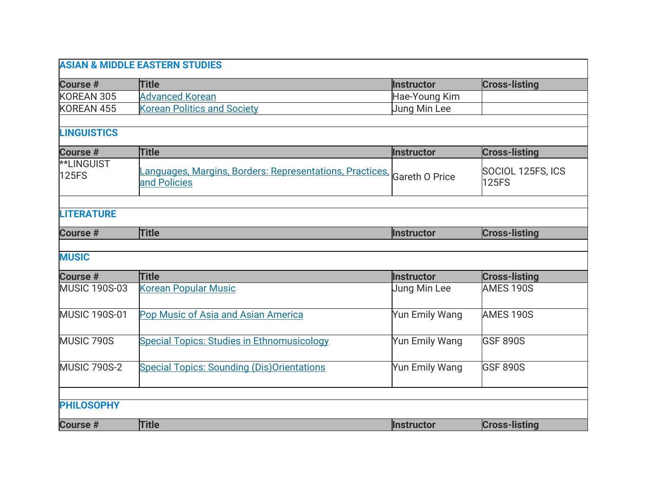|                                   | <b>ASIAN &amp; MIDDLE EASTERN STUDIES</b>                               |                       |                                   |
|-----------------------------------|-------------------------------------------------------------------------|-----------------------|-----------------------------------|
| <b>Course #</b>                   | <b>Title</b>                                                            | <b>Instructor</b>     | <b>Cross-listing</b>              |
| KOREAN 305                        | <b>Advanced Korean</b>                                                  | Hae-Young Kim         |                                   |
| KOREAN 455                        | <b>Korean Politics and Society</b>                                      | Jung Min Lee          |                                   |
|                                   |                                                                         |                       |                                   |
| <b>LINGUISTICS</b>                |                                                                         |                       |                                   |
| Course #                          | <b>Title</b>                                                            | <b>Instructor</b>     | <b>Cross-listing</b>              |
| <b>**LINGUIST</b><br><b>125FS</b> | anguages, Margins, Borders: Representations, Practices,<br>and Policies | <b>Gareth O Price</b> | SOCIOL 125FS, ICS<br><b>125FS</b> |
|                                   |                                                                         |                       |                                   |
| <b>LITERATURE</b>                 |                                                                         |                       |                                   |
| Course #                          | <b>Title</b>                                                            | <b>Instructor</b>     | <b>Cross-listing</b>              |
|                                   |                                                                         |                       |                                   |
| <b>MUSIC</b>                      |                                                                         |                       |                                   |
| <b>Course #</b>                   | <b>Title</b>                                                            | <b>Instructor</b>     | <b>Cross-listing</b>              |
| <b>MUSIC 190S-03</b>              | <b>Korean Popular Music</b>                                             | Jung Min Lee          | AMES 190S                         |
| <b>MUSIC 190S-01</b>              | Pop Music of Asia and Asian America                                     | Yun Emily Wang        | AMES 190S                         |
| MUSIC 790S                        | <b>Special Topics: Studies in Ethnomusicology</b>                       | Yun Emily Wang        | <b>GSF 890S</b>                   |
| <b>MUSIC 790S-2</b>               | <b>Special Topics: Sounding (Dis) Orientations</b>                      | Yun Emily Wang        | <b>GSF 890S</b>                   |
|                                   |                                                                         |                       |                                   |
| <b>PHILOSOPHY</b>                 |                                                                         |                       |                                   |
| <b>Course #</b>                   | <b>Title</b>                                                            | <b>Instructor</b>     | <b>Cross-listing</b>              |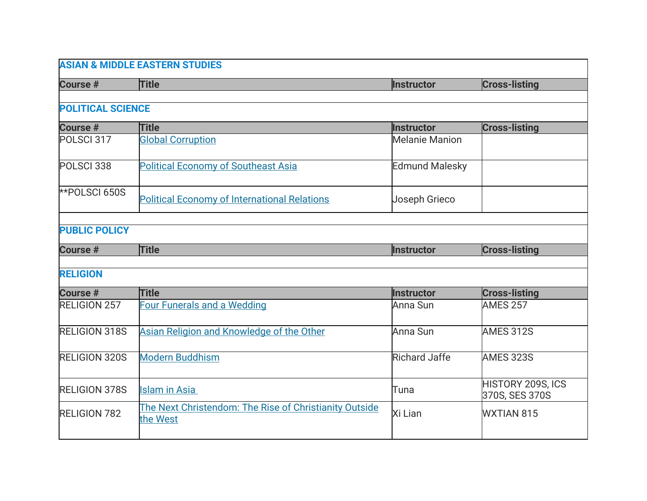| <b>ASIAN &amp; MIDDLE EASTERN STUDIES</b> |                                                                    |                       |                                            |
|-------------------------------------------|--------------------------------------------------------------------|-----------------------|--------------------------------------------|
| <b>Course #</b>                           | <b>Title</b>                                                       | Instructor            | <b>Cross-listing</b>                       |
|                                           |                                                                    |                       |                                            |
| <b>POLITICAL SCIENCE</b>                  |                                                                    |                       |                                            |
| <b>Course #</b>                           | <b>Title</b>                                                       | <b>Instructor</b>     | <b>Cross-listing</b>                       |
| POLSCI 317                                | <b>Global Corruption</b>                                           | <b>Melanie Manion</b> |                                            |
| POLSCI <sub>338</sub>                     | <b>Political Economy of Southeast Asia</b>                         | <b>Edmund Malesky</b> |                                            |
| **POLSCI 650S                             | <b>Political Economy of International Relations</b>                | <b>Joseph Grieco</b>  |                                            |
| <b>PUBLIC POLICY</b>                      |                                                                    |                       |                                            |
| <b>Course #</b>                           | <b>Title</b>                                                       | <b>Instructor</b>     | <b>Cross-listing</b>                       |
|                                           |                                                                    |                       |                                            |
| <b>RELIGION</b>                           |                                                                    |                       |                                            |
| <b>Course #</b>                           | <b>Title</b>                                                       | <b>Instructor</b>     | <b>Cross-listing</b>                       |
| <b>RELIGION 257</b>                       | <b>Four Funerals and a Wedding</b>                                 | Anna Sun              | <b>AMES 257</b>                            |
| <b>RELIGION 318S</b>                      | Asian Religion and Knowledge of the Other                          | Anna Sun              | AMES 312S                                  |
| <b>RELIGION 320S</b>                      | <b>Modern Buddhism</b>                                             | <b>Richard Jaffe</b>  | <b>AMES 323S</b>                           |
| <b>RELIGION 378S</b>                      | <b>Islam in Asia</b>                                               | Tuna                  | <b>HISTORY 209S, ICS</b><br>370S, SES 370S |
| <b>RELIGION 782</b>                       | The Next Christendom: The Rise of Christianity Outside<br>the West | Xi Lian               | <b>WXTIAN 815</b>                          |